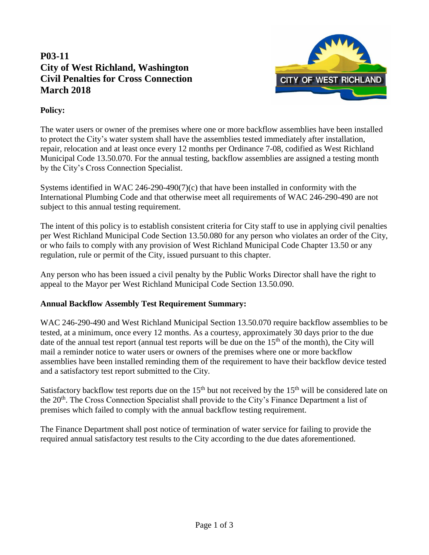## **P03-11 City of West Richland, Washington Civil Penalties for Cross Connection March 2018**



## **Policy:**

The water users or owner of the premises where one or more backflow assemblies have been installed to protect the City's water system shall have the assemblies tested immediately after installation, repair, relocation and at least once every 12 months per Ordinance 7-08, codified as West Richland Municipal Code 13.50.070. For the annual testing, backflow assemblies are assigned a testing month by the City's Cross Connection Specialist.

Systems identified in WAC 246-290-490(7)(c) that have been installed in conformity with the International Plumbing Code and that otherwise meet all requirements of WAC 246-290-490 are not subject to this annual testing requirement.

The intent of this policy is to establish consistent criteria for City staff to use in applying civil penalties per West Richland Municipal Code Section 13.50.080 for any person who violates an order of the City, or who fails to comply with any provision of West Richland Municipal Code Chapter 13.50 or any regulation, rule or permit of the City, issued pursuant to this chapter.

Any person who has been issued a civil penalty by the Public Works Director shall have the right to appeal to the Mayor per West Richland Municipal Code Section 13.50.090.

## **Annual Backflow Assembly Test Requirement Summary:**

WAC 246-290-490 and West Richland Municipal Section 13.50.070 require backflow assemblies to be tested, at a minimum, once every 12 months. As a courtesy, approximately 30 days prior to the due date of the annual test report (annual test reports will be due on the  $15<sup>th</sup>$  of the month), the City will mail a reminder notice to water users or owners of the premises where one or more backflow assemblies have been installed reminding them of the requirement to have their backflow device tested and a satisfactory test report submitted to the City.

Satisfactory backflow test reports due on the  $15<sup>th</sup>$  but not received by the  $15<sup>th</sup>$  will be considered late on the 20<sup>th</sup>. The Cross Connection Specialist shall provide to the City's Finance Department a list of premises which failed to comply with the annual backflow testing requirement.

The Finance Department shall post notice of termination of water service for failing to provide the required annual satisfactory test results to the City according to the due dates aforementioned.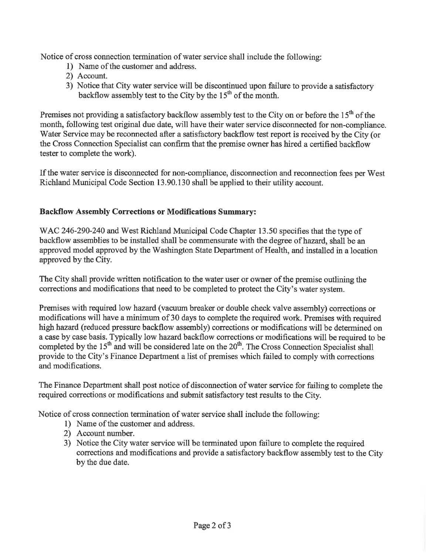Notice of cross connection termination of water service shall include the following:

- 1) Name of the customer and address.
- 2) Account.
- 3) Notice that City water service will be discontinued upon failure to provide a satisfactory backflow assembly test to the City by the  $15<sup>th</sup>$  of the month.

Premises not providing a satisfactory backflow assembly test to the City on or before the  $15<sup>th</sup>$  of the month, following test original due date, will have their water service disconnected for non-compliance. Water Service may be reconnected after a satisfactory backflow test report is received by the City (or the Cross Connection Specialist can confirm that the premise owner has hired a certified backflow tester to complete the work).

If the water service is disconnected for non-compliance, disconnection and reconnection fees per West Richland Municipal Code Section 13.90.130 shall be applied to their utility account.

## **Backflow Assembly Corrections or Modifications Summary:**

WAC 246-290-240 and West Richland Municipal Code Chapter 13.50 specifies that the type of backflow assemblies to be installed shall be commensurate with the degree of hazard, shall be an approved model approved by the Washington State Department of Health, and installed in a location approved by the City.

The City shall provide written notification to the water user or owner of the premise outlining the corrections and modifications that need to be completed to protect the City's water system.

Premises with required low hazard (vacuum breaker or double check valve assembly) corrections or modifications will have a minimum of 30 days to complete the required work. Premises with required high hazard (reduced pressure backflow assembly) corrections or modifications will be determined on a case by case basis. Typically low hazard backflow corrections or modifications will be required to be completed by the 15<sup>th</sup> and will be considered late on the 20<sup>th</sup>. The Cross Connection Specialist shall provide to the City's Finance Department a list of premises which failed to comply with corrections and modifications.

The Finance Department shall post notice of disconnection of water service for failing to complete the required corrections or modifications and submit satisfactory test results to the City.

Notice of cross connection termination of water service shall include the following:

- 1) Name of the customer and address.
- 2) Account number.
- 3) Notice the City water service will be terminated upon failure to complete the required corrections and modifications and provide a satisfactory backflow assembly test to the City by the due date.